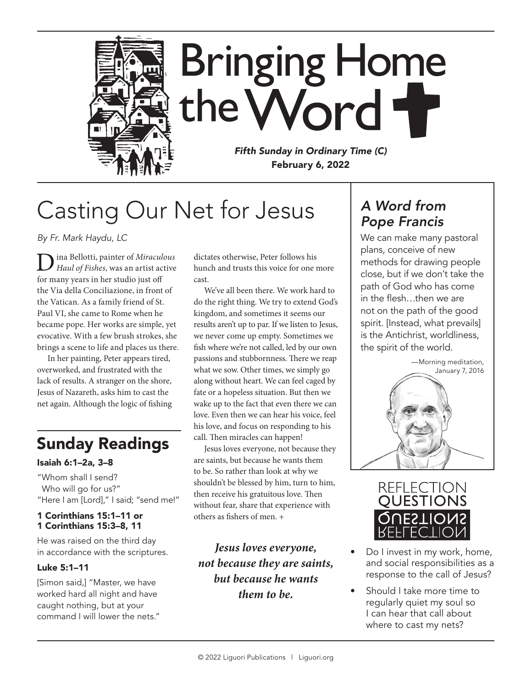

## Casting Our Net for Jesus

*By Fr. Mark Haydu, LC*

Dina Bellotti, painter of *Miraculous Haul of Fishes*, was an artist active for many years in her studio just off the Via della Conciliazione, in front of the Vatican. As a family friend of St. Paul VI, she came to Rome when he became pope. Her works are simple, yet evocative. With a few brush strokes, she brings a scene to life and places us there.

In her painting, Peter appears tired, overworked, and frustrated with the lack of results. A stranger on the shore, Jesus of Nazareth, asks him to cast the net again. Although the logic of fishing

## Sunday Readings

#### Isaiah 6:1–2a, 3–8

"Whom shall I send? Who will go for us?" "Here I am [Lord]," I said; "send me!"

#### 1 Corinthians 15:1–11 or 1 Corinthians 15:3–8, 11

He was raised on the third day in accordance with the scriptures.

#### Luke 5:1–11

[Simon said,] "Master, we have worked hard all night and have caught nothing, but at your command I will lower the nets." dictates otherwise, Peter follows his hunch and trusts this voice for one more cast.

We've all been there. We work hard to do the right thing. We try to extend God's kingdom, and sometimes it seems our results aren't up to par. If we listen to Jesus, we never come up empty. Sometimes we fish where we're not called, led by our own passions and stubbornness. There we reap what we sow. Other times, we simply go along without heart. We can feel caged by fate or a hopeless situation. But then we wake up to the fact that even there we can love. Even then we can hear his voice, feel his love, and focus on responding to his call. Then miracles can happen!

Jesus loves everyone, not because they are saints, but because he wants them to be. So rather than look at why we shouldn't be blessed by him, turn to him, then receive his gratuitous love. Then without fear, share that experience with others as fishers of men. +

*Jesus loves everyone, not because they are saints, but because he wants them to be.*

### *A Word from Pope Francis*

We can make many pastoral plans, conceive of new methods for drawing people close, but if we don't take the path of God who has come in the flesh…then we are not on the path of the good spirit. [Instead, what prevails] is the Antichrist, worldliness, the spirit of the world.





- Do I invest in my work, home, and social responsibilities as a response to the call of Jesus?
- Should I take more time to regularly quiet my soul so I can hear that call about where to cast my nets?